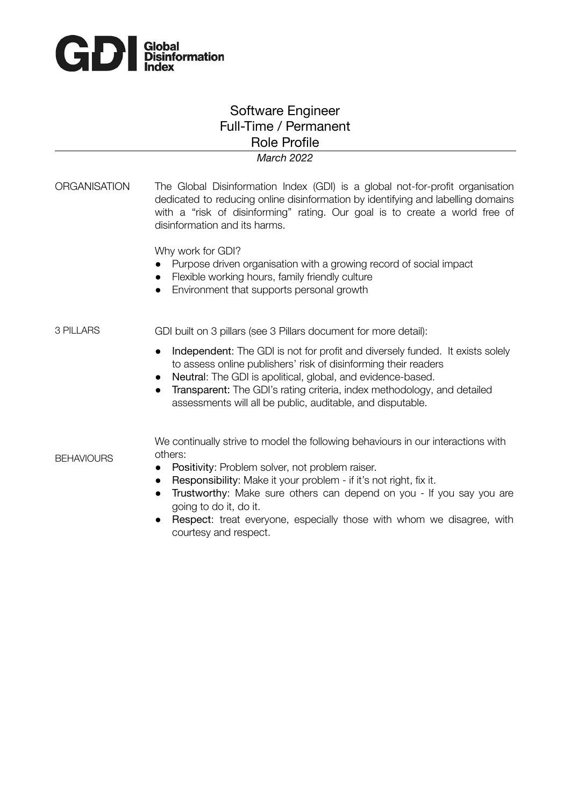

**BEHAVIOURS** 

## Software Engineer Full-Time / Permanent Role Profile

## *March 2022*

ORGANISATION The Global Disinformation Index (GDI) is a global not-for-profit organisation dedicated to reducing online disinformation by identifying and labelling domains with a "risk of disinforming" rating. Our goal is to create a world free of disinformation and its harms.

Why work for GDI?

- Purpose driven organisation with a growing record of social impact
- Flexible working hours, family friendly culture
- Environment that supports personal growth

3 PILLARS GDI built on 3 pillars (see 3 Pillars document for more detail):

- Independent: The GDI is not for profit and diversely funded. It exists solely to assess online publishers' risk of disinforming their readers
- Neutral: The GDI is apolitical, global, and evidence-based.
- Transparent: The GDI's rating criteria, index methodology, and detailed assessments will all be public, auditable, and disputable.

We continually strive to model the following behaviours in our interactions with others:

- Positivity: Problem solver, not problem raiser.
- Responsibility: Make it your problem if it's not right, fix it.
- Trustworthy: Make sure others can depend on you If you say you are going to do it, do it.
- Respect: treat everyone, especially those with whom we disagree, with courtesy and respect.